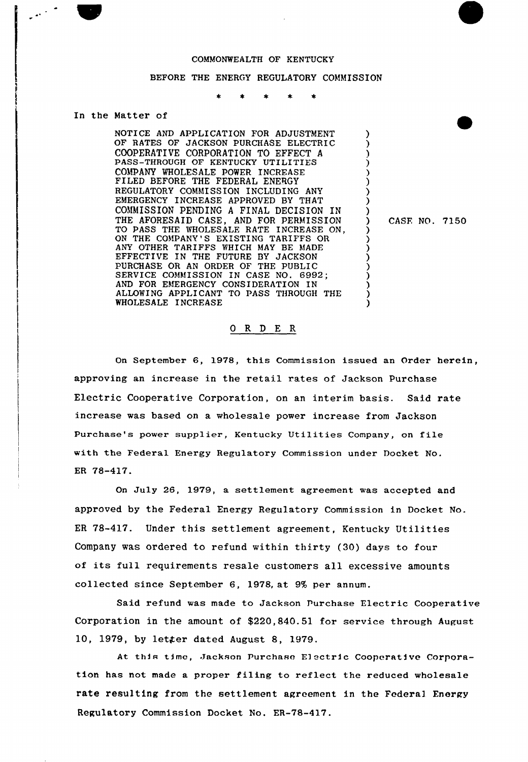## COMMONWEALTH OF KENTUCKY

## BEFORE THE ENERGY REGULATORY COMMISSION

## In the Matter of

NOTICE AND APPLICATION FOR ADJUSTMENT OF RATES OF JACKSON PURCHASE ELECTRIC COOPERATIVE CORPORATION TO EFFECT <sup>A</sup> PASS-THROUGH OF KENTUCKY UTILITIES COMPANY WHOLESALE POWER INCREASE FILED BEFORE THE FEDERAL ENERGY REGULATORY COMMISSION INCLUDING ANY EMERGENCY INCREASE APPROVED BY THAT COMMISSION PENDING <sup>A</sup> FINAL DECISION IN THE AFORESAID CASE, AND FOR PERMISSION TO PASS THE WHOLESALE RATE INCREASE ON, ON THE COMPANY'S EXISTING TARIFFS OR ANY OTHER TARIFFS WHICH MAY BE MADE EFFECTIVE IN THE FUTURE BY JACKSON PURCHASE OR AN ORDER OF THE PUBLIC SERVICE COMMISSION IN CASE NO. 6992; AND FOR EMERGENCY CONSIDERATION IN ALLOWING APPLICANT TO PASS THROUGH THE WHOLESALE INCREASE

) CASF, NO. 7150

) ) ) ) ) ) .<br>ڊ ) )

> ) ) ) ) ) ) ) ) )

## 0 R <sup>D</sup> E R

On September 6, 1978, this Commission issued an Order herein, approving an increase in the retail rates of Jackson Purchase Electric Cooperative Corporation, on an interim basis. Said rate increase was based on a wholesale power increase from Jackson Purchase's power supplier, Kentucky Utilities Company, on file with the Federal Energy Regulatory Commission under Docket No. ER 78-417.

On July 26, 1979, a settlement agreement was accepted and approved by the Federal Energy Regulatory Commission in Docket No. ER 78-417. Under this settlement agreement, Kentucky Utilities Company was ordered to refund within thirty (30) days to four of its full requirements resale customers all excessive amounts collected since September 6, 1978, at 9% per annum.

Said refund was made to Jackson purchase Electric Cooperative Corporation in the amount of \$220,840.51 for service through August 10, 1979, by letter dated August 8, 1979.

At this time, Jackson Purchase Electric Cooperative Corporation has not made a proper filing to reflect the reduced wholesale rate resulting from the settlement agreement in the Federal Energy Regulatory Commission Docket No. ER-78-417.